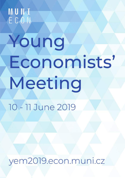MUNI<br>ECON

# Young Economists' Meeting

10 - 11 June 2019

yem2019.econ.muni.cz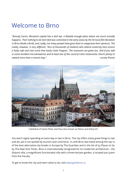# Welcome to Brno

*"Among Czechs, Moravia's capital has a dull rep: a likeable enough place where not much actually happens. That 'nothing to do here' feel was cemented in the early 2000s by the hit local film Boredom in Brno (Nuda v Brně), and, sadly, not many people have gone back to reappraise their opinions. The reality, however, is very different. Tens of thousands of students who attend university here ensure a lively cafe and club scene that easily rivals Prague's. The museums are great too. And if you add in some excellent microbreweries and at least two of the country's best restaurants, there's plenty to reward more than a transit stop."* Lonely Planet



Cathedral of Saints Peter and Paul also known as Petrov and Zelný trh

You won't regret spending an extra day or two in Brno. The city offers many great things to see and do, yet is not spoiled by tourism and commerce. In 2016 Brno was listed among the top 10 of the best alternative city breaks in Europe by The Guardian and in the list of 52 Places to Go by The New York Times. Brno is internationally recognized for its modernist architecture – the Stiassni villa, a magnificent functionalist villa with a three-hectare garden, is located just 500m from the Faculty.

To get to know the city and learn what to do, visit [www.gotobrno.cz.](www.gotobrno.cz)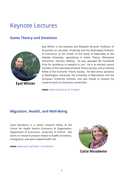# Keynote Lectures

# **Game Theory and Emotions**



**Eyal Winter**

Eyal Winter is the Andrews and Elizabeth Brunner Professor of Economics at Lancaster University and the Silverzweig Professor of Economics at the Center of the Study of Rationality at the Hebrew University, specializing in Game Theory, Behavioral Economics, Decision Making. He was awarded the Humboldt Prize for excellence in research in 2011. He is an elected council member of the International Game Theory Society, and an elected fellow of the Economic Theory Society. He held senior positions at Washington University, the University of Manchester and the European University Institute, and was invited to present his research works at numerous universities.

**www:** <www.ma.huji.ac.il/~mseyal/>

# **Migration, Health, and Well-Being**

Catia Nicodemo is a senior research fellow at the Centre for Health Service Economics & Organisation, Department of Economics, University of Oxford. She works on research projects related to health economics, immigration, and work-related health risk.

**www:** <www.econ.upf.edu/~cnicodemo/>

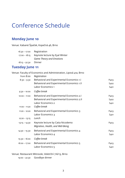# Conference Schedule

## **Monday June 10**

Venue: Kabaret Špaček, Kopečná 46, Brno

| 16:30 - 17:00   | Registration                    |
|-----------------|---------------------------------|
| $17:00 - 18:15$ | Keynote lecture by Eyal Winter  |
|                 | <b>Game Theory and Emotions</b> |
| $18:15 - 22:30$ | Dinner                          |

# **Tuesday June 11**

| from 8:00       | Venue: Faculty of Economics and Administration, Lipová 41a, Brno<br>Registration |                  |
|-----------------|----------------------------------------------------------------------------------|------------------|
| $8:30 - 9:30$   | Behavioral and Experimental Economics 1.1                                        | P <sub>403</sub> |
|                 | Behavioral and Experimental Economics 1.II                                       | S <sub>402</sub> |
|                 | Labor Economics 1                                                                | S <sub>401</sub> |
| $9:30 - 10:00$  | Coffee break                                                                     |                  |
| $10:00 - 11:00$ | Behavioral and Experimental Economics 2.1                                        | P <sub>403</sub> |
|                 | Behavioral and Experimental Economics 2.II                                       | S <sub>402</sub> |
|                 | Labor Economics 2                                                                | S <sub>401</sub> |
| $11:00 - 11:20$ | Coffee break                                                                     |                  |
| $11:20 - 12:20$ | Behavioral and Experimental Economics 3                                          | P <sub>403</sub> |
|                 | Labor Economics 3                                                                | S <sub>401</sub> |
| $12:20 - 13:15$ | Lunch                                                                            |                  |
| $13:15 - 14:30$ | Keynote lecture by Catia Nicodemo                                                | P <sub>403</sub> |
|                 | Migration, Health, and Well-Being                                                |                  |
| $14:30 - 15:30$ | Behavioral and Experimental Economics 4                                          | P <sub>403</sub> |
|                 | Labor Economics 4                                                                | S <sub>401</sub> |
| $15:30 - 16:00$ | Coffee break                                                                     |                  |
| $16:00 - 17:00$ | Behavioral and Experimental Economics 5                                          | P <sub>403</sub> |
|                 | Labor Economics 5                                                                | S <sub>401</sub> |
|                 |                                                                                  |                  |

Venue: Restaurant Mitrovski, Veletržní 716/13, Brno

19:00 – 22:30 Goodbye dinner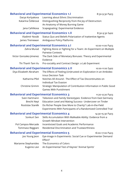| <b>Behavioral and Experimental Economics 1.1</b><br>Darya Korlyakova<br>Katarína Čellárová | Learning about Ethnic Discrimination<br>Distinguishing Reciprocity from the Joy of Destruction:   | 8:30-9:30 P403   |
|--------------------------------------------------------------------------------------------|---------------------------------------------------------------------------------------------------|------------------|
| Jana Cahlikova                                                                             | An Anatomy of Money Burning Game<br>Scapegoating: Experimental Evidence                           |                  |
| <b>Behavioral and Experimental Economics 1.II</b>                                          |                                                                                                   |                  |
| Vladimír Novák                                                                             | Status Quo and Beliefs Polarization of Inattentive Agents                                         | 8:30-9:30 S402   |
| James Tremewan                                                                             | Ambiguous Policy Platforms                                                                        |                  |
| <b>Behavioral and Experimental Economics 2.1</b>                                           |                                                                                                   | 10:00-11:00 P403 |
| Zahra Murad                                                                                | Fighting Alone or Fighting for a Team: An Experiment on Multiple<br><b>Pairwise Contests</b>      |                  |
| Victor Gonzalez-Jimenez                                                                    | The Dark Side of Monetary Bonuses: Theory and Experimental<br>Evidence                            |                  |
| Thi Thanh Tam Vu                                                                           | Pro-sociality and Contract Design: a Lab Experiment                                               |                  |
|                                                                                            | <b>Behavioral and Experimental Economics 2.II</b>                                                 | 10:00-11:00 S402 |
| Diya Elizabeth Abraham                                                                     | The Effects of Feeling (Un)trusted on Exploration in an Ambidex-<br>trous Decision Task           |                  |
| Katharina Pfeil                                                                            | Notches All Around - The Effect of Tax Discontinuities on<br>Individual Tax Evasion               |                  |
| Christine Grimm                                                                            | Strategic Manipulation of Contribution Information in Public Good<br><b>Games With Punishment</b> |                  |
| <b>Behavioral and Experimental Economics 3</b>                                             |                                                                                                   | 11:20-12:20 P403 |
| Sven Hartmann                                                                              | Television and Family Stereotypes: Evidence from East Germany                                     |                  |
| <b>Brecht Neyt</b>                                                                         | Education Level and Mating Success- Undercover on Tinder                                          |                  |
| Rostislav Staněk                                                                           | Do Richer People Give More to Charity? Lab-in-the-Field                                           |                  |
|                                                                                            | Experiments With Participants of a Randomized Controlled Trial                                    |                  |
| <b>Behavioral and Experimental Economics 4</b>                                             |                                                                                                   | 14:30-15:30 P403 |
| Sonkurt Sen                                                                                | Skills Accumulation With Malleable Ability: Evidence from a<br>Growth Mindset Intervention        |                  |
| Pol Campos-Mercade                                                                         | Incentivized Goals and Academic Performance                                                       |                  |
| Tommaso Reggiani                                                                           | <b>Residential Discrimination and Trustworthiness</b>                                             |                  |
| <b>Behavioral and Experimental Economics 5</b>                                             |                                                                                                   | 16:00-17:00 P403 |
| Joo Young Jeon                                                                             | Eye-image in Experiments: Social Cue or Experimenter Demand<br>Effect?                            |                  |
| Marianne Stephanides                                                                       | The Economics of Colors                                                                           |                  |
| Eugenio Levi                                                                               | An Experimental Test of Keynes' 'Animal Spirits'                                                  |                  |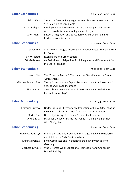**Labor Economics 1** 8:30-10:30 Room S401

| Sekou Keita                  | Say It Like Goethe: Language Learning Services Abroad and the<br>Self-Selection of Immigrants                              |
|------------------------------|----------------------------------------------------------------------------------------------------------------------------|
| Jarmila Oslejova             | Employment and Wage Returns to Citizenship for Immigrants<br>Across Two Naturalization Regimes in Belgium                  |
| Davit Adunts                 | Seasonal Migration and Education of Children Left Behind:<br>Evidence from Armenia                                         |
| <b>Labor Economics 2</b>     | 10:00-11:00 Room S401                                                                                                      |
| Jonas Feld                   | Are Minimum Wages Affecting Immigration Rates? Evidence from<br><b>EU Countries</b>                                        |
| Jan Wickerath                | Rush Hours and Urbanization                                                                                                |
| Štěpán Mikula                | Air Pollution and Migration: Exploiting a Natural Experiment from<br>the Czech Republic                                    |
| <b>Labor Economics 3</b>     | 11:20-12:20 Room S401                                                                                                      |
| Lorenzo Neri                 | The More, the Merrier? The Impact of Gentrification on Student<br>Achievement                                              |
| <b>Gilabert Paulino Font</b> | Taking Cover: Human Capital Accumulation in the Presence of<br>Shocks and Health Insurance                                 |
| Simon Amez                   | Smartphone Use and Academic Performance: Correlation or<br>Causal Relationship?                                            |
| <b>Labor Economics 4</b>     | 14:30-15:30 Room S401                                                                                                      |
| Ekaterina Travova            | Under Pressure? Performance Evaluation of Police Officers as an<br>Incentive to Cheat: Evidence from Drug Crimes In Russia |
| Martin Guzi                  | Driven By History: The Czech Presidential Elections                                                                        |
| Ondřej Krčál                 | Made for the Job or By the Job? A Lab-in-the-field Experiment<br>With Firefighters                                         |
| <b>Labor Economics 5</b>     | 16:00-17:00 Room S401                                                                                                      |
| Audrey Au Yong Lyn           | Prohibition Without Protection: Marriageable Age Law Reforms<br>and Adolescent Girls' Fertility in Mexico                  |
| Kristína Hrehová             | Long Commutes and Relationship Stability: Evidence from<br>Germany.                                                        |
| Geghetsik Afunts             | Who Divorces Who: Educational Homogamy and Changes in<br><b>Marital Stability</b>                                          |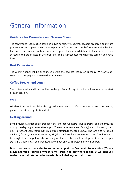# General Information

## **Guidance for Presenters and Session Chairs**

The conference features five sessions in two panels. We suggest speakers prepare a 20-minute presentation and upload their slides in ppt or pdf on the computer before the session begins. Each room is equipped with a computer, a projector and a whiteboard. Papers will be presented in the order listed in the program. The last presenter will chair the session and keep time.

#### **Best Paper Award**

The winning paper will be announced before the keynote lecture on Tuesday.  $\triangleq$  next to abstract indicates papers nominated for the Award.

#### **Coffee Breaks and Lunch**

The coffee breaks and lunch will be on the 4th floor. A ring of the bell will announce the start of each session.

#### **WiFi**

Wireless Internet is available through *eduroam* network. If you require access information, please contact the registration desk.

#### **Getting around**

Brno provides a great public transport system that runs 24/7 - buses, trams, and trolleybuses during the day, night buses after 11 pm. The conference venue (Faculty) is 10 minutes by tram no. 1 (direction: Ečerova) from the main train station to the stop Lipová. The fare is 20 Kč (about 0.8 Euro) for a 15-minute ticket, or 25 Kč (about 1 Euro) for a 60-minute ticket. The tickets can be bought from the yellow ticket vending machines at the bus/ tram stop, or at the newspaper stalls. SMS tickets can be purchased as well but only with a Czech phone number.

**Due to reconstructions, the trains do not stop at the Brno main train station ("Brno hlavní nádraží"). You will arrive at "Brno – Dolní nádraží" where bus no. 61 will take you to the main train station - the transfer is included in your train ticket.**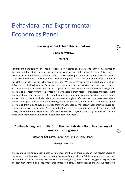# <span id="page-8-0"></span>Behavioral and Experimental Economics Panel

#### **Learning about Ethnic Discrimination**

P403 ♣

#### **Darya Korlyakova**

CERGE-EI

Rational and behavioral theories tend to disagree on whether people prefer to learn from accurate or like-minded information sources, especially about controversial and emotional issues. This disagreement motivates the following question: Which sources do people choose to acquire information about ethnic discrimination? In addition, it is unclear whether people select sources with the highest potential to shift their beliefs. This raises the second question: Which sources cause the strongest updating of beliefs about ethnic discrimination? To answer these questions, we conduct a two-wave survey experiment with a large sample representative of Czech population. A novel feature of our design is that exogenous information provision from three sources (ordinary people, human resource managers and researchers studying ethnic minorities) is complemented with endogenous information acquisition from the same sources. We find that individual's beliefs respond most strongly to information from experts (researchers and HR managers). Consistent with the strength of belief updating, more individuals prefer to acquire information from experts over information from ordinary people. We suggest that perceived source accuracy could explain our results. Self-reported attitudes to ethnic minorities (Asians in this study) and charity donations are unresponsive to information treatment. Together, rationality in information acquisition and belief updating is in line with standard economic theory.

## **Distinguishing reciprocity from the joy of destruction: An anatomy of money burning game Burning and BESO**

P403

**Katarína Čellárová**, Ondřej Krčál and Rostislav Staněk

Masaryk University

The joy of destruction game is typically used to measure the anti-social behavior. Two players decide at the same time if they want to burn the partner's money for a small cost. While some authors claim that motives behind money burning lie in the pleasure of being nasty, other scientists suggest to explain it by an inequality aversion, or by reciprocity that comes from simultaneous decision-making. We replicated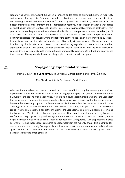<span id="page-9-0"></span>laboratory experiment by Abbink & Sadrieh (2009) and added steps to distinguish between reciprocity and pleasure of being nasty. Four stages included replication of the original experiment, beliefs elicitation, strategy method decisions and control for inequality aversion. In addition, participants filled the questionnaire with a measurement of IRI – interpersonal reactivity index. Design of experiment enables us to distinguish between four types of subjects – nice, reciprocal, inequality averse and destructive. From 300 subjects attending our experiment, those who decided to burn partner's money formed only 8.7% of all participants. Almost half of the subjects acted reciprocal, with a belief about the partner's action positively correlated with actual burning and following partner's decision in strategy method questions. Inequality aversion was the driver of behavior for a 6% of subjects, and pleasure of being nasty was behind burning of only 1.7% subjects. Destructors burned money regardless of partner's action, and had significantly lower IRI than others. Our results suggest that anti-social behavior in the joy of destruction game is driven by reciprocity, with minor influence of inequality aversion. We did not find an evidence that pleasure of being nasty is the reason why people choose to burn in this game.

#### **Scapegoating: Experimental Evidence** 8:30

Michal Bauer, **Jana Cahliková**, Julie Chytilová, Gerard Roland and Tomáš Želinský

Max Planck Institute for Tax Law and Public Finance

What are the underlying mechanisms behind the contagion of inter-group harm among masses? We explore how group identity shapes the willingness to engage in scapegoating, i.e., to punish innocent individuals for the actions of somebody else. We develop a novel experimental paradigm – the Scapegoat Punishing game – implemented among youth in Eastern Slovakia, a region with inter-ethnic tensions between the majority group and the Roma minority. An impartial Punisher receives information that a Wrongdoer malevolently reduced the earned income of an anonymous person from the Punisher's group. We manipulate signals about the ethnicity of the Scapegoat, a completely innocent person, and the Wrongdoer. We find strong biases in punishment. First, people punish more severely Wrongdoers from an out-group, as compared to in-group members, for the same misbehavior. Second, a nonnegligible fraction of subjects punish Scapegoats for actions of Wrongdoers. Such scapegoating is twice as large for Roma Scapegoats as compared to Scapegoats from the majority group. This magnified tendency to punish the minority Scapegoats is not driven by collective punishment or unconditional hate against Roma. These behavioral phenomena can help to explain why harmful behavior against minorities can easily spread among masses.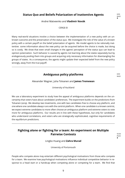## <span id="page-10-0"></span>**Status Quo and Beliefs Polarization of Inattentive Agents** 8:30

Andrei Matveenko and **Vladimír Novák**

CERGE-EI

Many real-world situations involve a choice between the implementation of a new policy with an unknown outcome and the preservation of the status quo. We investigate the role of the value of a known policy with a certain payoff on the belief polarization of agents. We model agents to be rationally inattentive: some information about the new policy can be acquired before the choice is made, but doing so is costly. We show that even small changes in the agents' perception of the status quo can lead to opinion polarization. Such behavior is caused by agents not learning about the states separately but by endogenously pooling them into groups and acquiring only necessary information for disentangling the groups of states. As a consequence, the agents might update their expected belief from the new policy wrongly, away from the true payoff.

#### **Ambiguous policy platforms** BESS AMBIGUOUS

Alexander Wagner, Juha Tolvanen and **James Tremewan**

University of Auckland

We use a laboratory experiment to study how the appeal of ambiguous platforms depends on the uncertainty that voters have about candidates' preferences. The experiment builds on the predictions from Tolvanen (2019). We develop two treatments, one with two candidates free to choose any platform, and one where one candidate always runs with the centrist platform. When one candidate is a known centrist, we expect extreme candidates to more often choose an ambiguous platform and extreme voters to vote more for ambiguous platforms. Our results are in line with these hypotheses, but only for candidates who understand correlations, and voters who are strategically sophisticated, cognitive requirements of the equilibrium predictions.

## **Fighting alone or fighting for a team: An experiment on Multiple Pairwise Contests** 10:00

P403 ♣

Lingbo Huang and **Zahra Murad**

University of Portsmouth

People who compete alone may entertain different psychological motivations from those who compete for a team. We examine how psychological motivations influence individual competitive behavior in response to a head start or a handicap when competing alone or competing for a team. We find that

S402

#### S402 ♣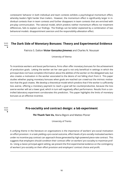<span id="page-11-0"></span>contestants' behavior in both individual and team contests exhibits a psychological momentum effect, whereby leaders fight harder than trailers. However, the momentum effect is significantly larger in individual contests than in team contests and further disappears in team contests that are enriched with pre-play communication. The rational model, which predicts neither momentum effects nor treatment differences, fails to explain our findings. The findings can be better explained by a combination of two behavioral models: disappointment aversion and the responsibility-alleviation effect.

#### **The Dark Side of Monetary Bonuses: Theory and Experimental Evidence** P403

Patricio S. Dalton **Victor Gonzalez-Jimenez** and Charles N. Noussair

University of Vienna

To incentivize workers and boost performance, firms often offer monetary bonuses for the achievement of production goals. Letting the worker set her own goal is not only beneficial in settings in which the principal does not have complete information about the abilities of the worker on the delegated task, but also creates a motivation in the worker associated to the desire of not falling short from it. This paper studies whether paying monetary bonuses when goals are reached can crowd-out the intrinsic motivation that the goal creates. We develop a theoretical model which predicts that if the worker is sufficiently loss averse, offering a monetary payment to reach a goal will be counterproductive, because the loss averse worker will set a lower goal, which in turn will negatively affect performance. Results from a controlled laboratory experiment corroborates this prediction. This paper highlights the limits of monetary bonuses as an effective incentive.

P403 ♣

♣

#### **Pro-sociality and contract design: a lab experiment** 10:00

**Thi Thanh Tam Vu**, Maria Bigoni and Matteo Ploner

University of Trento

A unifying theme in the literature on organizations is the importance of workers' pro-social motivation on effort provision: in a task yielding a pro-social outcome, effort levels of pro-socially motivated workers under no incentive pay contract can approach those generated by high-powered piece-rate contract. This suggests that employers should condition their contract offer on workers' pro-sociality to maximize profits. Using a classic principal-agent setting, we present the first experimental evidence on the contingency of workers' pro-sociality on their effort provision and employers' contract choice and profit.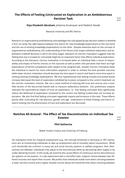#### <span id="page-12-0"></span>**The Effects of Feeling (Un)trusted on Exploration in an Ambidextrous Decision Task** 10:00

S402

**Diya Elizabeth Abraham**, Johanna Gruenauer and Vladimír Novák

Masaryk University and WU Vienna

Research on organizational ambidexterity acknowledges the role played by key decision makers in whether a firm can strike the right balance between the search for new knowledge (exploration) on the one hand and the use of existing knowledge (exploitation) on the other. Despite extensive work on the concept of organizational ambidexterity, the understanding of the factors that shape individual exploration and exploitation tradeoff decisions is still in the early stages. Research on intrinsic motivation suggests that the feeling that one is trusted (or untrusted) might be an important factor that affects individual exploration. According to this literature, intrinsic motivation is increased when an individual feels a sense of responsibility and impact of her/his choices on the outcome as well as when s/he perceives that there are high expectations of her/his competence with respect to the assigned task. Greater intrinsic motivation leads the individual to search for more information (explore) in order to achieve the best possible outcome while lower intrinsic motivation should decrease the time spent in search and lead to more time spent in utilizing existing knowledge (exploitation). We thus hypothesized that feeling trusted (untrusted) would increase (decrease) the level of exploration exhibited by trustees compared to the control treatment via the intrinsic motivation channel. We use a novel method of inducing felt trust and untrust and a modified version of the two-armed bandit task to measure exploratory behavior. Our preliminary analysis indicates the asymmetrical impact of trust on exploration, i.e. that feeling untrusted does significantly reduce the likelihood of exploration compared to the control, but feeling trusted does not increase exploration. We also find that feeling untrusted negatively impacts performance in this task. These effects persist after controlling for risk aversion, gender and age. Implications of these findings and future research looking into the phenomena of trust and exploration are discussed.

#### **Notches All Around - The Effect of Tax Discontinuities on Individual Tax Evasion** 10:00

 $5402$ 

#### **Pfeil Katharina**

Walter Eucken Institut and University of Freiburg

Tax exemption limits for marginal employment (e.g., the mini-job threshold in Germany) or VAT exemptions aim at incentivizing individuals to take up employment and to honestly report transactions. While such thresholds are common in many tax and social security systems or welfare programs, their disincentives are debated. Individuals may adjust to the discontinuity either by decreasing labor supply or by under-declaring income. In this study, we examine the causal effects of continuous versus discontinuous tax systems on tax evasion. In a lab experiment with a real-effort task, subjects choose between two different incomes and report their income. We predict that individuals evade more when choosing between a lower tax-free income and a higher taxable income above the threshold than when choosing between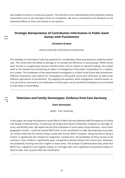<span id="page-13-0"></span>two taxable incomes in a continuous system. This will inform our understanding of the influence of policy instruments such as tax exemption limits on compliance. We aim to contribute to the literature on the behavioral effects of kinks and notches in tax systems.

#### **Strategic Manipulation of Contribution Information in Public Good Games with Punishment** 10:00

**Christine Grimm**

Vienna University of Economics and Business

The reliability of information holds the potential for considerably influencing decisions made by individuals. This comes with the ability to damage or to increase the efficiency of social groups. While former work focuses on exogenously induced misinformation and its impact on decision-making, this project adds to this literature by introducing an option of endogenous information manipulation in a cooperative context. The fundament of the experimental investigation is a Public Good Game with punishment. Different treatments cover options for manipulation of the public record and verification as well as two different approaches of punishment. By targeting the question when endogenous misinformation occurs and how to overcome it, the implications of the project can be manifold including but are not limited to Fake News in Social Media.

#### **THE TELEVISION AND FAMILY Stereotypes: Evidence from East Germany**

#### **Sven Hartmann**

IAAEU - Trier University

In this paper, we study the long-term causal effects of West German television (WGTV) exposure on family role models in East Germany. In particular, we analyze the impact of television reception on marriage, divorce, and fertility rates. We exploit the fact that individuals in some areas of East Germany - due to their geographic location - could not receive WGTV prior to the reunification in 1989. By analyzing survey data, our results show that for women living in areas with former WGTV reception, being married or being a mother is significantly less relevant for happiness. Furthermore, the probability of these women to be married or have children is significantly lower compared to women living in the control area. Moreover, the probability of being divorced is higher in these areas. The analysis of administrative data yields that WGTV has a significant and negative impact on marriage rates and a significant and positive impact on divorce rates, even 25 years after the reunification.

S402

P403 ♣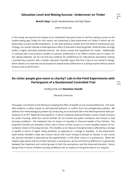#### <span id="page-14-0"></span>**Education Level and Mating Success– Undercover on Tinder** 11:20

**Brecht Neyt**, Sarah Vandenbulcke and Stijn Baert

Ghent University

In this study, we examine the impact of an individual's education level on her/his mating success on the mobile dating app Tinder.For this means, we conducted a field experiment on Tinder in which we collected data on3,600 profile evaluations. In line with previous studies from the field of evolutionary psychology, our results indicate a heterogeneous effect of education level by gender: while females strongly prefer a highly educated potential partner, we cannot accept this hypothesis for males. Additionally, in contrast with most previous studies on partner preferences in an offline context and on classic online dating websites, we do not find any evidence for preferences for educational assortative mating, i.e.preferring a partner with a similar education level.We argue that this is due to our research design, which allows us to examine actual (instead of stated) mate preferences in a dating market without search frictions and social frictions

## **Do richer people give more to charity? Lab-in-the-Field Experiments with Participants of a Randomized Controlled Trial** 11:20

P403

#### Ondřej Krčál and **Rostislav Staněk**

Masaryk University

This paper contributes to the literature studying the effect of wealth on pro-social preferences. The available evidence is either based on self-reported behavior or suffers from the endogeneity problem. We address this methodological problem by conducting an incentivized lab-in-the-field experiment with participants of an RCT Rapid Re-Housing Brno, in which randomly selected families receive rental contracts for public housing, while the control families do not receive any public assistance and remain in bad housing conditions. The treatment has no impact on liquidity or financial wealth of the families. The treatment families are therefore richer only in terms of their access to a more valuable stream of consumption stream of housing services. This enables us to measure how generosity is affected by a change in wealth in terms of higher living standard, as opposed to a change in liquidity. In the experiment, adult family members make two choices about how much money to donate to charity: in one choice the amount donated is observed by the experimenter, in the other choice it is anonymous. While the subjects give about 20% less if their donation is anonymous, we do not find any differences in generosity between the treatment and control groups in both the anonymous and the observed donation. Hence being richer in terms of better housing conditions has no impact on the generosity of our subjects.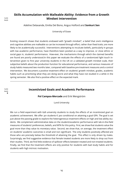## <span id="page-15-0"></span>**Skills Accumulation with Malleable Ability: Evidence from a Growth** 14:30 **Mindset Intervention**

Adeline Delavande, Emilia Del Bono, Angus Holford and **Sonkurt Sen**

University of Essex

Existing research shows that students endowed with "growth mindset"; a belief that one's intelligence and cognitive abilities are malleable so can be increased through effort, rather than fixed traits; are more likely to be academically successful. Interventions attempting to inculcate beliefs, particularly in groups with low academic performance, have therefore been posited as a way to improve, or close ethnic or social gaps in, students' performance. How-ever, the mechanisms through which the claimed benefits are found are poorly understood.In this paper we evaluate the effects of a randomized light touch intervention given to first year university students in the UK on a validated growth mindset scale, their subjective beliefs about the production function for educational performance, and various measures of study habits measured two months later, compared with baseline pre-treatment measures and a control intervention. We document a positive treatment effect on students' growth mindset, grades, academic habits such as prioritizing what they are doing worst and what they have not studied in a while in the spring semester. We also find a positive effect on the expected mark.

#### **Incentivized Goals and Academic Performance** 14:30

#### **Pol Campos-Mercade** and Erik Wengström

Lund University

We run a field experiment with 628 university students to study the effects of an incentivized goal on academic achievement. We offer 301 students € 300 conditional on attaining a goal GPA. The goal is set just above the passing grade to explore the heterogeneous treatment effects on high and low ability students. We complement administrative data on the students'academic performance with lab-in-the-field measures of students' preferences, beliefs, and WTA for this policy. First, we show that students value the goal more than they value its monetary value. Second, we show that, on average, the treatment effect on students' academic outcomes is small and non significant. The only students positively affected are those who are precisely below the threshold of attaining the goal. This effect is only driven by males. Surprisingly, we find suggestive evidence that female treated students are more likely to drop out from their studies. Third, we find little evidence of spillover effects between treated and non-treated students. Finally, we find that the treatment effects are only positive for students with bad study habits and for students with high intrinsic motivation.

P403

P403 ♣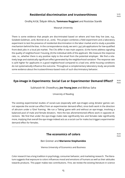#### <span id="page-16-0"></span>**Residential discrimination and trustworthiness** 14:30

Ondřej Krčál, Štěpán Mikula, **Tommaso Reggiani** and Rostislav Staněk

Masaryk University

There is some evidence that people are discriminated based on where and how they live (see, e.g., Golabek-Goldman, 2016; Bonnet et al., 2016). This project combines a field experiment and a laboratory experiment to test the presence of residential discrimination in the labor market and to study a possible mechanism behind the bias. In the correspondence study, we sent 1,347 job applications for low-qualified front-desk jobs in a local job market. The CVs differ in two main aspects: (I) the home address signaling the quality of neighborhood / housing, (II) the individual skills of the applicant. We measure the response rate, i.e., whether there is any positive reply to the email from the potential employer. We find a relatively large and statistically significant effect generated by the neighborhood variation: The response rate is 25% higher for applicants in a good neighborhood compared to a bad one, while housing conditions do not systematically influence the outcome. Throughout a complementary laboratory study, we provide some evidence about the trustworthiness-based roots of such discriminatory behavior.

#### **Eye-image in Experiments: Social Cue or Experimenter Demand Effect?** 16:00

P403

Subhasish M. Chowdhury, **Joo Young Jeon** and Bibhas Saha

University of Reading

The existing experimental studies of social-cues (especially with eye-image) using dictator games cannot separate the social-cue effect from an experimenter demand effect, since both work in the direction of altruism under a 'Give' framing. We run a 'Taking' game with and without an eye-image, involving a balanced pool of male and female dictators. Here the two aforementioned effects work in opposite directions. We find that under the eye-image males take significantly less and females take significantly more, implying that overall the eye-image indeed acts as a social cue for males but triggers experimenter demand effect for females.

#### **The economics of colors** 16:00

 $P40z$ 

Ben Greiner and **Marianne Stephanides**

Vienna University of Economics and Business

Color research has a long tradition in psychology, consumer behavior, and marketing research. The literature suggests that exposure to colors influences mood and emotions of humans as well as their attitudes towards products. This paper makes two contributions. First, we review the existing literature in science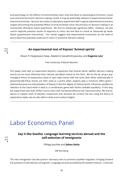<span id="page-17-0"></span>and psychology on the effects of environmental colors (red and blue) on physiological functions, mood, and consumer/economic decision-making, insofar it may be potentially relevant to experimental and behavioral economists. Second, we conduct a laboratory experiment with a typical experimental economics subject pool testing the predicted effects of environmental colors red and blue on decision-making in an incentivized Ultimatum Game experiment. We find no statistically significant effect. However, we also cannot replicate previous results of exposure to colors red and blue on mood as measured by established questionnaire instruments. Our results suggest that experimental economists do not need to worry about the potential confound of colors in economic decision-making.

#### 16:00 P403 ♣

S401 ♣

#### **An experimental test of Keynes' 'Animal spirits'**

Shaun P. Hargreaves Heap, Aikaterini Karadimitropoulou and **Eugenio Levi**

Free University of Bozen-Bolzano

This paper tests with an experiment Keynes's conjectures that 'animal spirits' a)affect decision making and b) can be more influential than rational calculation based on the facts. We do this by using a psychological theory of explanatory styles to spin news stories with the same facts either optimistically or pessimistically.These stories are then used as a prime when subjects play a minimum effort game selected because one interpretation of Keynes is that the degree of 'animal spirits' influences equilibrium selection at the macro-level in what is a coordination game with Pareto rankable equilibria. In this way, the experiment also tests Shiller's (2017) claim that 'narratives'influence the macroeconomy. We find evidence to support both of Keynes's conjectures and, because we conduct the test using the theory of explanatory styles, we are also able to draw macro policy insights.

# Labor Economics Panel

## **Say it like Goethe: Language learning services abroad and the self-selection of immigrants** 8:30

Philipp Jaschke and **Sekou Keita**

IAB Nürnberg

The new immigration law discussed in Germany aims to promote qualified migration, bringing forward the question of self-selection of migrants. Language services provided by the Goethe Institute – a German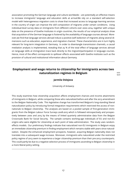<span id="page-18-0"></span>association promoting the German language and culture worldwide – are potentially an effective means to increase immigrants' language and education skills at arrival.We rely on a standard self-selection model with heterogeneous migration costs to show that increased access to language learning services in the country of origin can improve the skill composition of migrants under certain conditions. Using individual-level survey data on immigrants from different cohorts over 2000–2014, together with unique data on the presence of Goethe Institutes in origin countries, the results of our empirical analysis show that acquisition of the German language is fostered by the availability of language courses abroad. Moreover,we find that language services abroad induce a positive (self-)selection of migrants along several dimensions such as education, experience, and migration channel. These characteristics are in turn highly relevant for long-term integration in Germany. In order to disentangle transmission channels, a causal mediation analysis is implemented, revealing that 25 % of the total effect of language services abroad on language skills at immigration trace back directly to the migrants'participation in language courses. Hence, most of the effect corresponds to spillover effects associated with Goethe institutes such as the provision of cultural and institutional information about Germany.

## **Employment and wage returns to citizenship for immigrants across two naturalization regimes in Belgium Bigger 1 and 18.30**

 $S401$ 

#### **Jarmila Oslejova**

University of Antwerp

This study examines how citizenship acquisition affects employment chances and income attainments of immigrants in Belgium, while comparing those who naturalized before and after the 2013 amendment to the Belgian Nationality Code. This legislative change has transformed Belgium's long-standing liberal naturalization policy by introducing formal integration requirements which restricted the access of nonnationals to Belgian citizenship. The analyses are based on a pooled sample of first-generation immigrants from the Belgian Labour Force Surveys 2008-2015 which is followed retrospectively and prospectively between 2000 and 2015 by the means of linked quarterly administrative data from the Belgian Crossroads Bank for Social Security. The sample contains working-age individuals of EU and non-EU origins who were eligible for citizenship at each point of data administration. The study uses randomeffects models. Our preliminary findings indicate that naturalized non-EU immigrants in Belgium enjoy an immediate citizenship premium in finding employment which remains stable with years since naturalization. Despite the enhanced employment prospects, however, acquiring Belgian nationality does not translate into a subsequent wage increase. Moreover, immigrants who naturalized under the restricted policy regime of 2013 seem to experience a larger citizenship premium than their pre-2013 counterparts. This could partly be due to a negative selection process of immigrants ascending to Belgian citizenship in a more liberal policy setting.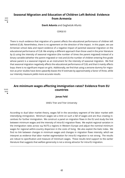## <span id="page-19-0"></span>**Seasonal Migration and Education of Children Left Behind: Evidence from Armenia** 8:30

**Davit Adunts** and Geghetsik Afunts

CERGE-EI

There is much evidence that migration of a parent affects the educational performance of children left behind (CLB). Nevertheless, there is no agreement on the direction of the impact. In this paper, we use Armenian school data and report evidence of a negative impact of parental seasonal migration on the educational performance of CLB. We employ a different approach than those used in the prior literature by (i) using the intensity of seasonal migration (the number of times the parent migrated) instead of a binary variable (whether the parent migrated or not) and (ii) the number of children entering first grade whose parent is a seasonal migrant as an instrument for the intensity of seasonal migration. We find that seasonal migration negatively affects the educational performance of CLB, and that it mainly affects boys; there is no significant impact on girls. Additionally, we find that using a zeroone dummy for migration as prior studies have done upwardly biases the IV estimate by approximately a factor of three, while our intensity measure yields more accurate results.

#### **Are minimum wages affecting immigration rates? Evidence from EU countries** 10:00

#### **Jonas Feld**

IAAEU Trier and Trier University

According to dual labor market theory, wages fall in the secondary segment of the labor market with intensifying immigration. Minimum wages set a limit on such a fall of wages and are thus creating incentives for further immigration. We construct a panel on migration flows in the EU and study the link between minimum wages and the intensity of intra-EU migration flows. We exploit regional variation in the immigration rates across 124 NUTS-2 regions in Western Europe and adjust the nominal minimum wages for regional within-country dispersion in the costs of living. We also exploit the Kaitz index. We find no link between changes in minimum wages and changes in migration flows intensity, which we interpret as evidence that labor market segmentation for intra-EU migration is not strong. The results are robust to specification and measure of minimum wages. These results lend support to the earlier literature that suggests that welfare generosity is not a strong attractor for intra-EU migration.

S401 ♣

S401 ♣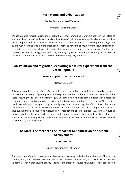#### **Rush Hours and Urbanization** 10:00

Tobias Seidel and **Jan Wickerath**

University Duisburg-Essen

<span id="page-20-0"></span>We use a spatial general equilibrium model with potential commuting of workers between their place of work and their place of residence to analyze the effects of rush hours on the spatial allocation of employment and population,average labor productivity and the housing market. Abolishing traffic congestion during rush hours leads to a more urbanized economy as households move from the low-density countryside to the commuter belts of cities rather than from the city centers to the periphery. Employment, however, becomes more agglomerated in high-density large cities. This adjustment implies an increase of average labor productivity of 7.2 percent and higher inequality of housing costs.

#### **Air Pollution and Migration: exploiting a natural experiment from the Czech Republic** 10:00

S401

S401 ♣

**Mikula Štěpán** and Mariola Pytliková

Masaryk University

This paper examines causal effects of air pollution on migration flows by exploiting a natural experiment of rapid desulfurization of power plants in the region of Northern Bohemia in the Czech Republic in the years following the fall of communism in 1989. Our preliminary findings from a difference in differences estimator show a significant positive effect of sulfur dioxide concentrations on emigration. All the above results are validated in analyses using net immigration rates: we find negative effects of air pollution on net migration. The results are also supported by zero effects from placebo tests. Our preliminary results thus suggest that air pollution as measured by concentrations of sulfur dioxide (SO2) in the air pushes away people from the highly polluted areas. In the future, we would like to include analyses of heterogonous responses to air pollution by different characteristics of people, for instance by their educational attainment, by age and gender.

## **The More, the Merrier? The Impact of Gentrification on Student Achievement** 11:20

S401

#### **Neri Lorenzo**

Queen Mary University of London

The demolition of public housing estates is often seen as a way to deal with the shortage of houses. In London, many public estates have been demolished between 2000 and 2015 to pave the way for new developments with higher housing density, leading to the creation of 30,000 new houses. I have constructed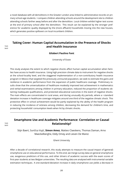<span id="page-21-0"></span>a novel database with all demolitions in the Greater London area linked to administrative records on primary school-age students. I compare children attending schools around the development site to children attending schools farther away before and after the demolition. Local children exhibit higher test scores at the end of primary school after the demolition. This result can be explained by the stronger preference for academic quality displayed by the (more affluent) households moving into the new houses, which generates positive spillovers on local incumbent children.

#### **Taking Cover: Human Capital Accumulation in the Presence of Shocks and Health Insurance** 11:20

#### **Gilabert Paulino Font**

University of Essex

This study analyses the extent to which negative shocks affect human capital accumulation when families have access to health insurance. Using high precision climate data to instrument for negative shocks at the school-locality level, and the staggered implementation of a non-contributory health insurance program in Mexico that targeted the previously uninsured population, we seek to estimate the gains and resilience in academic performance from the expansion of public healthcare coverage. Preliminary results show that the universalization of healthcare modestly improved test achievement in mathematics and verbal examinations among children in primary education, reduced the proportion of students obtaining inadequate qualifications, and protected educational outcomes in the event of negative shocks. The main effects are concentrated in rural areas, and during unusually dry periods, where a 1 standard deviation increase in healthcare coverage mitigates around one third of the negative climatic shock. This protective effect in school achievement would be partly explained by the ability of the health program in reducing the incidence of sickness among children, decreasing the demand for children's time, and protecting households' consumption levels when hit by climatic shocks.

#### **Smartphone Use and Academic Performance: Correlation or Causal Relationship? Relationship?**

Stijn Baert, Sunčica Vujić, **Simon Amez**, Matteo Claeskens, Thomas Daman, Arno Maeckelberghe, Eddy Omey and Lieven De Marez

Ghent University

After a decade of correlational research, this study attempts to measure the causal impact of (general) smartphone use on educational performance. To this end, we merge survey data on general smartphone use, exogenous predictors of this use, and other drivers of academic success with the exam scores of first-year students at two Belgian universities. The resulting data are analysed with instrumental variable estimation techniques. A one-standard-deviation increase in daily smartphone use yields a decrease in

 $S40$ 

 $S40$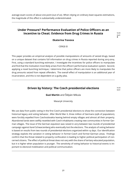<span id="page-22-0"></span>average exam scores of about one point (out of 20). When relying on ordinary least squares estimations, the magnitude of this effect is substantially underestimated.

#### **Under Pressure? Performance Evaluation of Police Officers as an Incentive to Cheat: Evidence from Drug Crimes in Russia**

#### **Ekaterina Travova**

CERGE-EI

This paper provides an empirical analysis of possible manipulations of amounts of seized drugs, based on a unique dataset that contains full information on drug crimes in Russia reported during 2013-2014. First, using a standard bunching estimator, I investigate the incentives for police officers to manipulate and find that the motivation most likely arises from the officers' performance evaluation system. Second, applying a novel bunching technique, I determine that police officers are more likely to manipulate the drug amounts seized from repeat offenders. The overall effect of manipulation is an additional year of incarceration, and this is not dependent on a guilty plea.

#### **Driven by history: The Czech presidential elections** 14:30

S401

S401 ♣

#### **Guzi Martin** and Štěpán Mikula

Masaryk University

We use data from public voting in the first Czech presidential elections to show the connection between historical legacy and voting behavior. After World War II, three million of Germans (29% of population), were forcibly expelled from Czechoslovakia leaving behind empty villages and almost all their property. Abandoned lands were swiftly resettled with Czech inhabitants creating new communities in former German villages. The issue of the German expulsion was raised in 2013 between two rounds of presidential campaign against Karel Schwarzenberg who eventually lost the elections. The analysis of voting behavior is based on results from two rounds of presidential elections organized within 14 days. Our identification strategy exploits the variation in voting behavior in former-Czech and former-German areas. Findings confirm that the threat related to property confiscation is leading to higher political participation of concerned citizens. The effect of political threat does not vary with the share of tertiary educated population, but it is higher when population is younger. The sensitivity of voting behavior to historical events is important to electoral mobilization and political communication.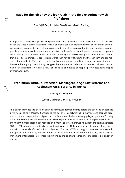#### <span id="page-23-0"></span>**Made for the job or by the job? A lab-in-the-field experiment with firefighters** 14:30

**Ondřej Krčál**, Rostislav Staněk and Martin Slanicay

Masaryk University

A large body of evidence supports a negative association between risk aversion of workers and the level of risk they face in their occupations. This relationship could be explained by the self-selection of workers into jobs according to their risk preferences or by the effect on risk attitudes of occupations in which people face or witness dangerous situations. We use incentivized experiments to measure risk preferences among three different groups: experienced firefighters, novice firefighters, and students. We find that experienced firefighters are less risk-averse than novice firefighters, and these in turn are less riskaverse than students. The effects remain significant even after controlling for other relevant differences between these groups. Our findings suggest that the observed relationship between risk aversion and high-risk occupations is not only a result of self-selection but also of people's preferences being shaped by their work lives.

## **Prohibition without Protection: Marriageable Age Law Reforms and Adolescent Girls' Fertility in Mexico** 16:00

#### **Audrey Au Yong Lyn**

Ludwig-Maximilian University of Munich

This paper examines the effect of banning marriages (formal unions) before the age of 18 on teenage birth rates (TBRs) in Mexico. Considering the positive link between child marriage and teenage pregnancy, the law is expected to mitigate both the former and the latter among girls younger than 18. Using a staggered difference-in-differences (D-I-D) technique, estimates show that while legislative changes to the minimum marriageable age reduced child marriage rates, there was no evident impact on aggregate TBRs or TBRs among married girls. Instead, an increase in TBRs among a specific group of teenagers; those in consensual (informal) unions is observed. The rise in TBRs among girls in consensual unions do not appear to be driven by the switch from formal to informal unions before pregnancy, but rather the movement of teenagers into consensual unions during or after pregnancy as marriage is no longer an option.

 $S_4$ 01

S401 ♣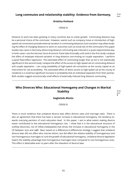#### <span id="page-24-0"></span>**Long commutes and relationship stability: Evidence from Germany.** 16:00

#### **Kristína Hrehová**

CERGE-EI

Distance to work has been growing in many countries due to urban growth. Commuting distance may be a personal choice of the commuter. However, events such as company move or introduction of highspeed rail connections provide external variation in commuting distances.Such variation may allow studying the effect of changing distance to work on outcomes such as social ties of the commuters.This paper studies two cases in Germany where long distance commuting was induced in a quasi-experimental way. In both cases I use the German Socio-Economic Panel data from1985 until 2016.In the first study I analyze the effect of employer-induced variation in long distance com-muting on couple separation. I perform a panel fixed effect regression. The estimated effect of commuting longer than 30 km is not statistically significant.In the second study I analyze the effect of the access to high-speed rail on commuting distance and couple separation. I am using availability of high-speed rail connection at the county capital as an instrument for rail accessibility. The estimated effect of direct access to high-speed rail at the county of residence is a small but significant increase in probability that an individual separates from their partner. Both studies suggest economically small effects of externally induced long distance commuting.

## **Who Divorces Who: Educational Homogamy and Changes in Marital Stability** 16:00

S401 ♣

#### **Geghetsik Afunts**

CERGE-EI

There is much evidence that unilateral divorce laws affect divorce rates and marriage rates. There is also an agreement that there has been a secular increase in educational homogamy, the tendency towards marrying partners of one's education level. In this paper, I ask to what extent making divorce easier contributed to the educational homogamy's rise. I show that it is the educational structure of outflow (divorces), not of inflow (newlyweds) that drives the increase in educational homogamy in the US between 1970 and 1988. Next, based on a difference-in-differences strategy I suggest that unilateral divorce laws did not affect who marries whom, but did affect the relative stability of homogamous and non-homogamous marriages to curb the growth of educational homogamy. Unilateral divorce legislation lowers the stability advantage that homogamous marriages have compared to non-homogamous ones. This effect is detectable even 10 years after the relaxation of divorce laws.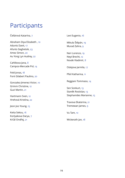# Participants

Čellárová Katarína, [7](#page-8-0)

Abraham Diya Elizabeth , [10](#page-11-0) Adunts Davit, [17](#page-18-0) Afunts Geghetsik, [23](#page-24-0) Amez Simon, [20](#page-21-0) Au Yong Lyn Audrey, [22](#page-23-0)

Cahlikova Jana, [8](#page-9-0) Campos-Mercade Pol, [14](#page-15-0)

Feld Jonas, [18](#page-19-0) Font Gilabert Paulino, [20](#page-21-0)

Gonzalez-Jimenez Victor, [10](#page-11-0) Grimm Christine, [12](#page-13-0) Guzi Martin, [21](#page-22-0)

Hartmann Sven, [12](#page-13-0) Hrehová Kristína, [22](#page-23-0)

Jeon Joo Young, [15](#page-16-0)

Keita Sekou, [16](#page-17-0) Korlyakova Darya, [7](#page-8-0) Krčál Ondřej, [21](#page-22-0)

Levi Eugenio, [16](#page-17-0)

Mikula Štěpán, [19](#page-20-0) Murad Zahra, [9](#page-10-0)

Neri Lorenzo, [19](#page-20-0) Neyt Brecht, [12](#page-13-0) Novák Vladimír, [8](#page-9-0)

Oslejova Jarmila, [17](#page-18-0)

Pfeil Katharina, [11](#page-12-0)

Reggiani Tommaso, [14](#page-15-0)

Sen Sonkurt, [13](#page-14-0) Staněk Rostislav, [13](#page-14-0) Stephanides Marianne, [15](#page-16-0)

Travova Ekaterina, [21](#page-22-0) Tremewan James, [9](#page-10-0)

Vu Tam, [10](#page-11-0)

Wickerath Jan, [18](#page-19-0)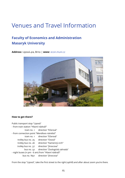# Venues and Travel Information

# **Faculty of Economics and Administration Masaryk University**

**Address:** Lipová 41a, Brno | **www:** <econ.muni.cz>



#### **How to get there?**

Public transport stop "Lipová" - from train station "Hlavní nádraží" tram no. 1 direction "Ečerová" - from connection point "Mendlovo náměstí" tram no. 1 direction "Ečerová" trolley bus no. 25 direction "Osová" trolley bus no. 26 direction "Kamenný vrch" trolley bus no. 37 direction "Jírovcova" bus no. 52 direction "Zoologická zahrada" - night buses (11 pm - 6 am) from "Hlavní nádraží" bus no. N97 direction "Jírovcova"

From the stop "Lipová", take the first street to the right (uphill) and after about 200m you're there.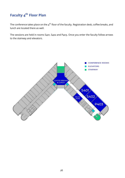# **Faculty 4 th Floor Plan**

The conference takes place on the  $4^{\text{th}}$  floor of the faculty. Registration desk, coffee breaks, and lunch are located there as well.

The sessions are held in rooms S401, S402 and P403. Once you enter the faculty follow arrows to the stairway and elevators.

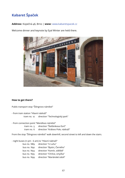# **Kabaret Špaček**

**Address:** Kopečná 46, Brno | **www:** <www.kabaretspacek.cz>

Welcome dinner and keynote by Eyal Winter are held there.



#### **How to get there?**

Public transport stop "Šilingrovo náměstí"

- from train station "Hlavní nádraží" tram no. 12 direction "Technologický park"

- from connection point "Mendlovo náměstí"

tram no. 5 direction "Štefánikova čtvrť" tram no. 6 direction "Královo Pole, nádraží"

From the stop "Šilingrovo náměstí" walk downhill, second street to left and down the stairs.

- night buses (11 pm - 6 am) to "Hlavní nádraží"

| bus no. N89 | direction "U Luhu"          |
|-------------|-----------------------------|
| bus no. N92 | direction "Bystrc, Černého" |
| bus no. N93 | direction "Komín, sídliště" |
| bus no. N95 | direction "Chrlice, smyčka" |
| bus no. N99 | direction "Mariánské údolí" |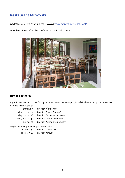# **Restaurant Mitrovski**

**Address:** Veletržní 716/13, Brno | **www:** <www.mitrovski.cz/restaurant/>

Goodbye dinner after the conference day is held there.



#### **How to get there?**

- 15 minutes walk from the faculty or public transport to stop "Výstaviště - hlavní vstup", or "Mendlovo náměstí" from "Lipová"

| tram no. 1         | direction "Řečkovice"        |
|--------------------|------------------------------|
| trolley bus no. 25 | direction "Novolíšeňská"     |
| trolley bus no. 26 | direction "Vozovna Husovice" |
| trolley bus no. 37 | direction "Mendlovo náměstí" |
| bus no. 52         | direction "Mendlovo náměstí" |
|                    |                              |

- night buses (11 pm - 6 am) to "Hlavní nádraží"

bus no. N97 direction "Líšeň, hřbitov"

bus no. N98 direction "Jírova"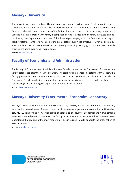# **Masaryk University**

The university was established on 28 January 1919. It was founded as the second Czech university, in large part thanks to the endeavor of Czechoslovak president Tomáš G. Masaryk, whose name it now bears. The funding of Masaryk University was one of the first achievements carried out by the newly independent Czechoslovak state. Masaryk University is comprised of nine faculties, two university institutes, and approximately 200 departments. It is one of the three largest employers in the South Moravian region. Teaching staff accounts for a full 2,000 of the overall total of over 5,000 employees. Over 180,000 graduates completed their studies at MU since the university's founding. Nearly 35,000 students are currently enrolled, including over 7,000 internationals.

**www:** <www.muni.cz>

# **Faculty of Economics and Administration**

The Faculty of Economics and Administration was founded in 1990 as the first faculty of Masaryk University established after the Velvet Revolution. The teaching commenced in September 1991. Today, the faculty provides economic education to almost three thousand students not only in Czech but also in English and French. In addition to top-quality education, the faculty focuses on research: excellent scientists dealing with a wide range of expert topics operate in our institutes **www:** <www.econ.muni.cz>

# **Masaryk University Experimental Economics Laboratory**

Masaryk University Experimental Economics Laboratory (MUEEL) was established during autumn 2015 as a result of several years of research activities in an area of experimental economics. In November 2016 MUEEL transformed from a free group of academics of Faculty of Economics and Administration into an established research institute of the faculty. In October 2017 MUEEL opened two state-of-the-art laboratories that are one of the most modern facilities in Europe. MUEEL supports the organisation of YEM since 2016.

**www:** <mueel.econ.muni.cz>

MASARYK UNIVERSITY **EXPERIMENTAL ECONOMICS LABORATORY** 

**MUNT**  $F C N$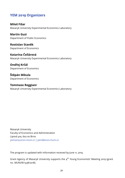# **YEM 2019 Organizers**

**Miloš Fišar** Masaryk University Experimental Economics Laboratory

**Martin Guzi** Department of Public Economics

**Rostislav Staněk** Department of Economics

**Katarína Čellárová** Masaryk University Experimental Economics Laboratory

**Ondřej Krčál** Department of Economics

**Štěpán Mikula** Department of Economics

**Tommaso Reggiani** Masaryk University Experimental Economics Laboratory

Masaryk University Faculty of Economics and Administration Lipová 41a, 602 00 Brno <yem2019.econ.muni.cz> | <yem@econ.muni.cz>

The program is updated with information received by June 11, 2019.

Grant Agency of Masaryk University supports the  $4^{\text{th}}$  Young Economists' Meeting 2019 (grant no. MUNI/B/1338/2018).